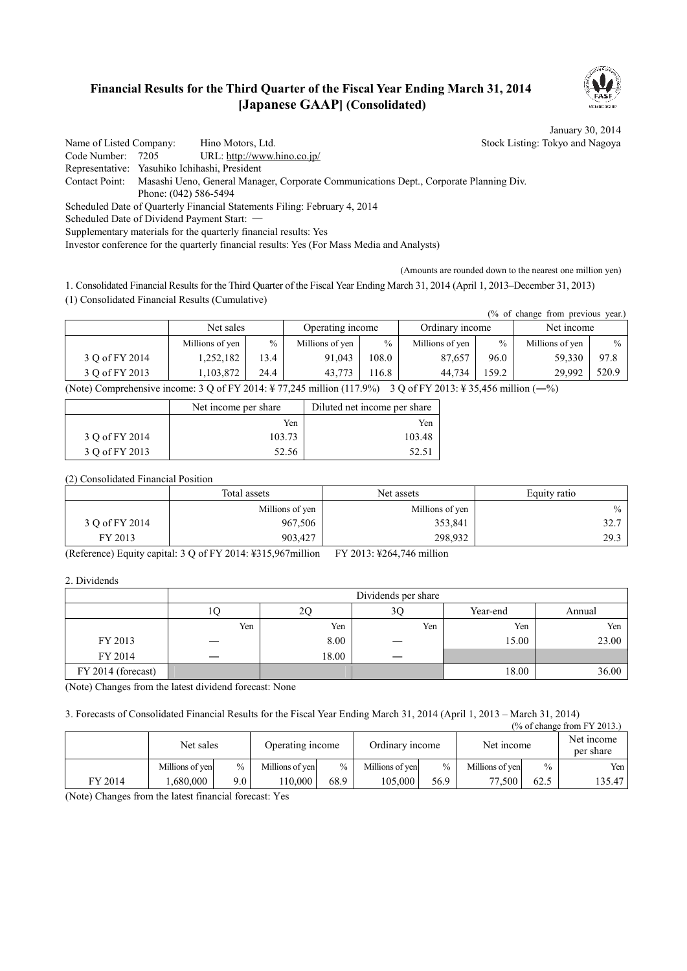### **Financial Results for the Third Quarter of the Fiscal Year Ending March 31, 2014 [Japanese GAAP] (Consolidated)**



January 30, 2014

Name of Listed Company: Hino Motors, Ltd. Stock Listing: Tokyo and Nagoya Code Number: 7205 URL: http://www.hino.co.jp/ Representative: Yasuhiko Ichihashi, President Contact Point: Masashi Ueno, General Manager, Corporate Communications Dept., Corporate Planning Div. Phone: (042) 586-5494 Scheduled Date of Quarterly Financial Statements Filing: February 4, 2014 Scheduled Date of Dividend Payment Start: -Supplementary materials for the quarterly financial results: Yes Investor conference for the quarterly financial results: Yes (For Mass Media and Analysts)

(Amounts are rounded down to the nearest one million yen)

1. Consolidated Financial Results for the Third Quarter of the Fiscal Year Ending March 31, 2014 (April 1, 2013–December 31, 2013) (1) Consolidated Financial Results (Cumulative)

| $%$ of change from previous year.) |                               |               |                 |               |                 |       |                 |            |  |
|------------------------------------|-------------------------------|---------------|-----------------|---------------|-----------------|-------|-----------------|------------|--|
|                                    | Net sales<br>Operating income |               |                 |               | Ordinary income |       |                 | Net income |  |
|                                    | Millions of yen               | $\frac{0}{0}$ | Millions of yen | $\frac{0}{0}$ | Millions of yen | $\%$  | Millions of yen | $\%$       |  |
| 3 O of FY 2014                     | 1,252,182                     | 13.4          | 91.043          | 108.0         | 87,657          | 96.0  | 59.330          | 97.8       |  |
| 3 O of FY 2013                     | 1,103,872                     | 24.4          | 43.773          | 16.8          | 44.734          | 159.2 | 29.992          | 520.9      |  |

(Note) Comprehensive income: 3 Q of FY 2014: ¥ 77,245 million (117.9%) 3 Q of FY 2013: ¥ 35,456 million (―%)

|                | Net income per share | Diluted net income per share |
|----------------|----------------------|------------------------------|
|                | Yen                  | Yen                          |
| 3 O of FY 2014 | 103.73               | 103.48                       |
| 3 O of FY 2013 | 52.56                | 52.51                        |

(2) Consolidated Financial Position

|                | Total assets    | Net assets      |      |
|----------------|-----------------|-----------------|------|
|                | Millions of yen | Millions of yen | $\%$ |
| 3 Q of FY 2014 | 967,506         | 353,841         | 32.7 |
| FY 2013        | 903.427         | 298,932         | 29.3 |

(Reference) Equity capital: 3 Q of FY 2014: ¥315,967million FY 2013: ¥264,746 million

2. Dividends

|                    |     |       | Dividends per share |          |        |
|--------------------|-----|-------|---------------------|----------|--------|
|                    | IU  | ŽŲ    | 3Q                  | Year-end | Annual |
|                    | Yen | Yen   | Yen                 | Yen      | Yen    |
| FY 2013            |     | 8.00  |                     | 15.00    | 23.00  |
| FY 2014            |     | 18.00 |                     |          |        |
| FY 2014 (forecast) |     |       |                     | 18.00    | 36.00  |

(Note) Changes from the latest dividend forecast: None

3. Forecasts of Consolidated Financial Results for the Fiscal Year Ending March 31, 2014 (April 1, 2013 – March 31, 2014)  $\mathbf{r}$  or  $\mathbf{r}$   $\mathbf{r}$  and  $\mathbf{r}$ 

| $($ % of change from FY 2013.) |                 |               |                  |               |                 |               |                 |               |                         |
|--------------------------------|-----------------|---------------|------------------|---------------|-----------------|---------------|-----------------|---------------|-------------------------|
|                                | Net sales       |               | Operating income |               | Ordinary income |               | Net income      |               | Net income<br>per share |
|                                | Millions of yen | $\frac{0}{0}$ | Millions of yen  | $\frac{0}{0}$ | Millions of yen | $\frac{0}{0}$ | Millions of yen | $\frac{0}{0}$ | Yen                     |
| FY 2014                        | .680.000        | 9.0           | 10.000           | 68.9          | 105.000         | 56.9          | 77.500          | 62.5          | 135.47                  |

(Note) Changes from the latest financial forecast: Yes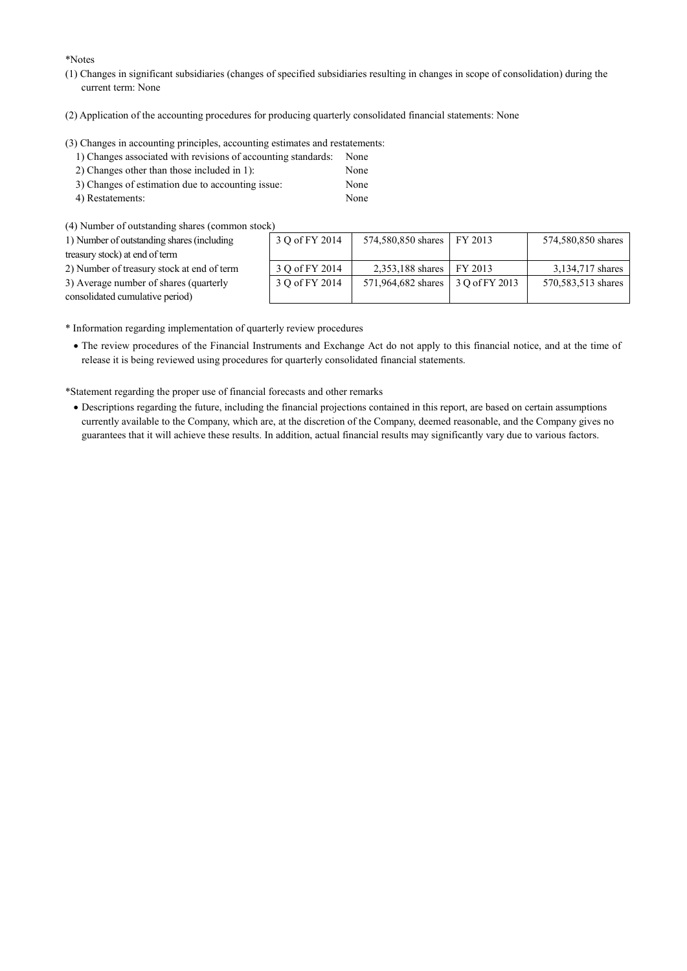\*Notes

- (1) Changes in significant subsidiaries (changes of specified subsidiaries resulting in changes in scope of consolidation) during the current term: None
- (2) Application of the accounting procedures for producing quarterly consolidated financial statements: None

(3) Changes in accounting principles, accounting estimates and restatements:

- 1) Changes associated with revisions of accounting standards: None
- 2) Changes other than those included in 1): None
- 3) Changes of estimation due to accounting issue: None
- 4) Restatements: None

(4) Number of outstanding shares (common stock)

| 1) Number of outstanding shares (including                                | 3 O of FY 2014 | 574,580,850 shares FY 2013 |                | 574,580,850 shares |
|---------------------------------------------------------------------------|----------------|----------------------------|----------------|--------------------|
| treasury stock) at end of term                                            |                |                            |                |                    |
| 2) Number of treasury stock at end of term                                | 3 Q of FY 2014 | 2,353,188 shares FY 2013   |                | 3,134,717 shares   |
| 3) Average number of shares (quarterly<br>consolidated cumulative period) | 3 O of FY 2014 | 571,964,682 shares         | 3 O of FY 2013 | 570,583,513 shares |
|                                                                           |                |                            |                |                    |

\* Information regarding implementation of quarterly review procedures

· The review procedures of the Financial Instruments and Exchange Act do not apply to this financial notice, and at the time of release it is being reviewed using procedures for quarterly consolidated financial statements.

\*Statement regarding the proper use of financial forecasts and other remarks

· Descriptions regarding the future, including the financial projections contained in this report, are based on certain assumptions currently available to the Company, which are, at the discretion of the Company, deemed reasonable, and the Company gives no guarantees that it will achieve these results. In addition, actual financial results may significantly vary due to various factors.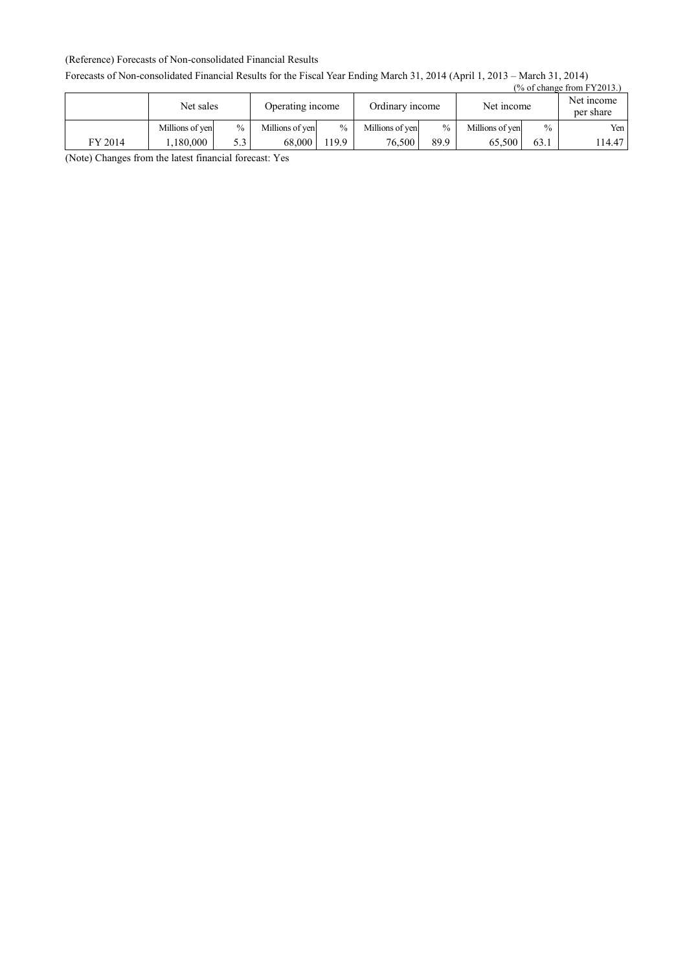#### (Reference) Forecasts of Non-consolidated Financial Results

#### Forecasts of Non-consolidated Financial Results for the Fiscal Year Ending March 31, 2014 (April 1, 2013 – March 31, 2014)

| $(\%$ of change from FY2013.) |                 |               |                  |       |                 |               |                 |      |                         |
|-------------------------------|-----------------|---------------|------------------|-------|-----------------|---------------|-----------------|------|-------------------------|
|                               | Net sales       |               | Operating income |       | Ordinary income |               | Net income      |      | Net income<br>per share |
|                               | Millions of yen | $\frac{0}{0}$ | Millions of yen  | $\%$  | Millions of yen | $\frac{0}{0}$ | Millions of yen | $\%$ | Yen                     |
| FY 2014                       | 1.180.000       | 5.3           | 68.000           | 119.9 | 76.500          | 89.9          | 65.500          | 63.1 | 114.47                  |

(Note) Changes from the latest financial forecast: Yes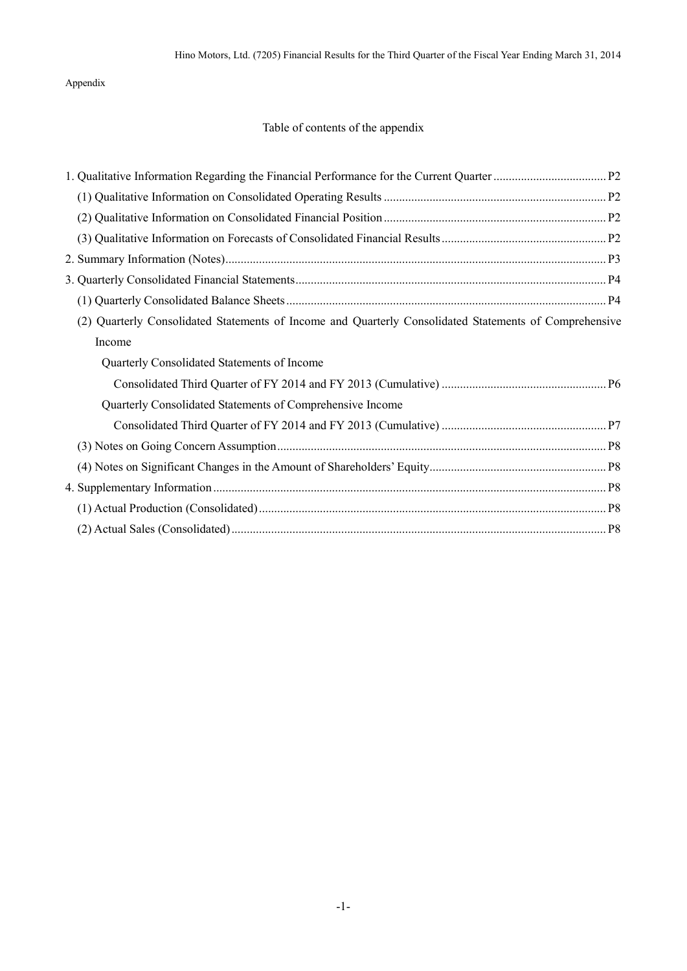Appendix

### Table of contents of the appendix

| (2) Quarterly Consolidated Statements of Income and Quarterly Consolidated Statements of Comprehensive |  |
|--------------------------------------------------------------------------------------------------------|--|
| Income                                                                                                 |  |
| Quarterly Consolidated Statements of Income                                                            |  |
|                                                                                                        |  |
| Quarterly Consolidated Statements of Comprehensive Income                                              |  |
|                                                                                                        |  |
|                                                                                                        |  |
|                                                                                                        |  |
|                                                                                                        |  |
|                                                                                                        |  |
|                                                                                                        |  |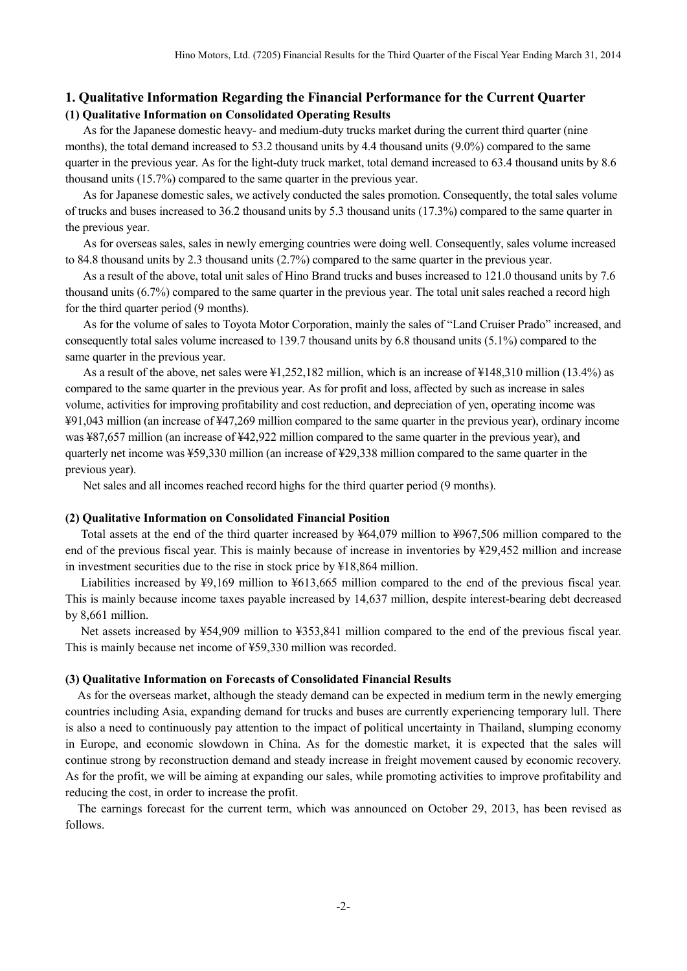### **1. Qualitative Information Regarding the Financial Performance for the Current Quarter (1) Qualitative Information on Consolidated Operating Results**

As for the Japanese domestic heavy- and medium-duty trucks market during the current third quarter (nine months), the total demand increased to 53.2 thousand units by 4.4 thousand units (9.0%) compared to the same quarter in the previous year. As for the light-duty truck market, total demand increased to 63.4 thousand units by 8.6 thousand units (15.7%) compared to the same quarter in the previous year.

As for Japanese domestic sales, we actively conducted the sales promotion. Consequently, the total sales volume of trucks and buses increased to 36.2 thousand units by 5.3 thousand units (17.3%) compared to the same quarter in the previous year.

As for overseas sales, sales in newly emerging countries were doing well. Consequently, sales volume increased to 84.8 thousand units by 2.3 thousand units (2.7%) compared to the same quarter in the previous year.

As a result of the above, total unit sales of Hino Brand trucks and buses increased to 121.0 thousand units by 7.6 thousand units (6.7%) compared to the same quarter in the previous year. The total unit sales reached a record high for the third quarter period (9 months).

As for the volume of sales to Toyota Motor Corporation, mainly the sales of "Land Cruiser Prado" increased, and consequently total sales volume increased to 139.7 thousand units by 6.8 thousand units (5.1%) compared to the same quarter in the previous year.

As a result of the above, net sales were ¥1,252,182 million, which is an increase of ¥148,310 million (13.4%) as compared to the same quarter in the previous year. As for profit and loss, affected by such as increase in sales volume, activities for improving profitability and cost reduction, and depreciation of yen, operating income was ¥91,043 million (an increase of ¥47,269 million compared to the same quarter in the previous year), ordinary income was ¥87,657 million (an increase of ¥42,922 million compared to the same quarter in the previous year), and quarterly net income was ¥59,330 million (an increase of ¥29,338 million compared to the same quarter in the previous year).

Net sales and all incomes reached record highs for the third quarter period (9 months).

#### **(2) Qualitative Information on Consolidated Financial Position**

Total assets at the end of the third quarter increased by ¥64,079 million to ¥967,506 million compared to the end of the previous fiscal year. This is mainly because of increase in inventories by ¥29,452 million and increase in investment securities due to the rise in stock price by ¥18,864 million.

Liabilities increased by ¥9,169 million to ¥613,665 million compared to the end of the previous fiscal year. This is mainly because income taxes payable increased by 14,637 million, despite interest-bearing debt decreased by 8,661 million.

Net assets increased by ¥54,909 million to ¥353,841 million compared to the end of the previous fiscal year. This is mainly because net income of ¥59,330 million was recorded.

#### **(3) Qualitative Information on Forecasts of Consolidated Financial Results**

As for the overseas market, although the steady demand can be expected in medium term in the newly emerging countries including Asia, expanding demand for trucks and buses are currently experiencing temporary lull. There is also a need to continuously pay attention to the impact of political uncertainty in Thailand, slumping economy in Europe, and economic slowdown in China. As for the domestic market, it is expected that the sales will continue strong by reconstruction demand and steady increase in freight movement caused by economic recovery. As for the profit, we will be aiming at expanding our sales, while promoting activities to improve profitability and reducing the cost, in order to increase the profit.

The earnings forecast for the current term, which was announced on October 29, 2013, has been revised as follows.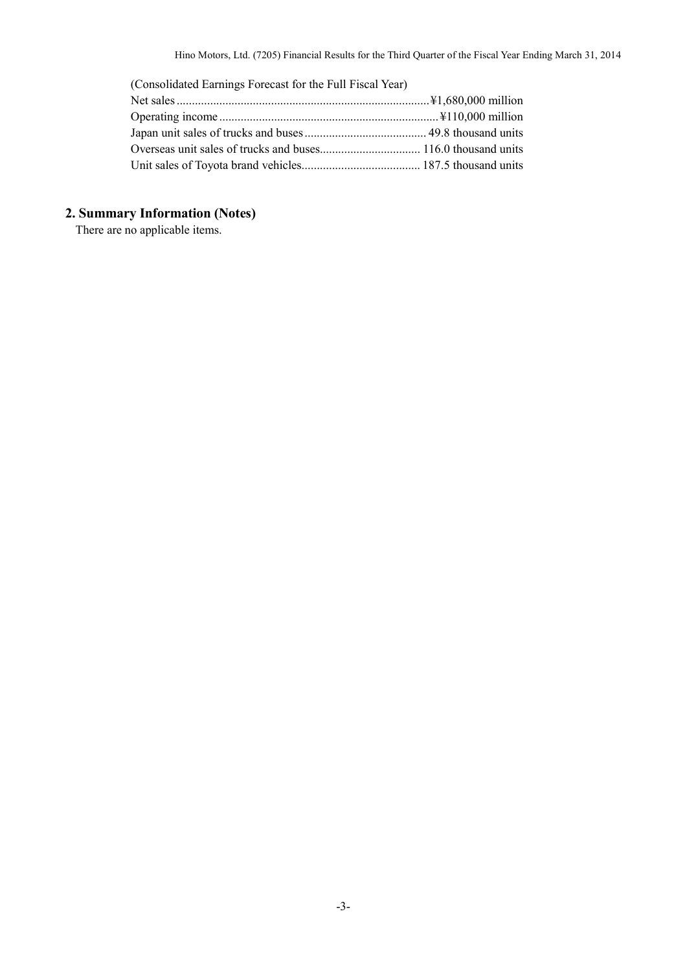| (Consolidated Earnings Forecast for the Full Fiscal Year) |  |
|-----------------------------------------------------------|--|
|                                                           |  |
|                                                           |  |
|                                                           |  |
|                                                           |  |
|                                                           |  |

# **2. Summary Information (Notes)**

There are no applicable items.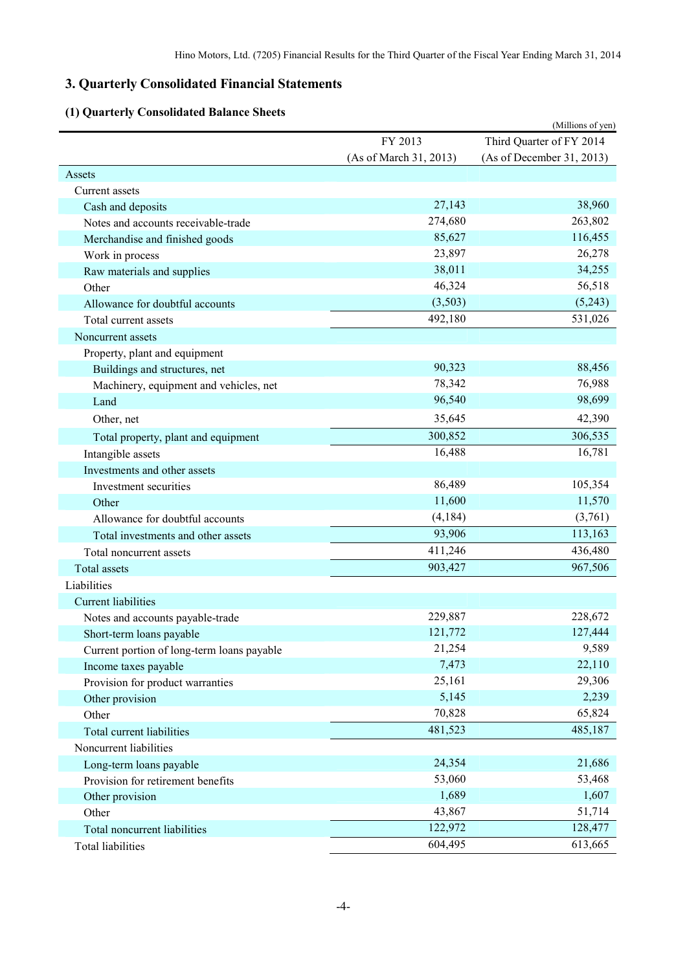## **3. Quarterly Consolidated Financial Statements**

## **(1) Quarterly Consolidated Balance Sheets**

| Quarterly Consonuated Dalance Sh           |                        | (Millions of yen)         |
|--------------------------------------------|------------------------|---------------------------|
|                                            | FY 2013                | Third Quarter of FY 2014  |
|                                            | (As of March 31, 2013) | (As of December 31, 2013) |
| Assets                                     |                        |                           |
| Current assets                             |                        |                           |
| Cash and deposits                          | 27,143                 | 38,960                    |
| Notes and accounts receivable-trade        | 274,680                | 263,802                   |
| Merchandise and finished goods             | 85,627                 | 116,455                   |
| Work in process                            | 23,897                 | 26,278                    |
| Raw materials and supplies                 | 38,011                 | 34,255                    |
| Other                                      | 46,324                 | 56,518                    |
| Allowance for doubtful accounts            | (3,503)                | (5,243)                   |
| Total current assets                       | 492,180                | 531,026                   |
| Noncurrent assets                          |                        |                           |
| Property, plant and equipment              |                        |                           |
| Buildings and structures, net              | 90,323                 | 88,456                    |
| Machinery, equipment and vehicles, net     | 78,342                 | 76,988                    |
| Land                                       | 96,540                 | 98,699                    |
| Other, net                                 | 35,645                 | 42,390                    |
| Total property, plant and equipment        | 300,852                | 306,535                   |
| Intangible assets                          | 16,488                 | 16,781                    |
| Investments and other assets               |                        |                           |
| Investment securities                      | 86,489                 | 105,354                   |
| Other                                      | 11,600                 | 11,570                    |
| Allowance for doubtful accounts            | (4, 184)               | (3,761)                   |
| Total investments and other assets         | 93,906                 | 113,163                   |
| Total noncurrent assets                    | 411,246                | 436,480                   |
| <b>Total assets</b>                        | 903,427                | 967,506                   |
| Liabilities                                |                        |                           |
| <b>Current liabilities</b>                 |                        |                           |
| Notes and accounts payable-trade           | 229,887                | 228,672                   |
| Short-term loans payable                   | 121,772                | 127,444                   |
| Current portion of long-term loans payable | 21,254                 | 9,589                     |
| Income taxes payable                       | 7,473                  | 22,110                    |
| Provision for product warranties           | 25,161                 | 29,306                    |
| Other provision                            | 5,145                  | 2,239                     |
| Other                                      | 70,828                 | 65,824                    |
| Total current liabilities                  | 481,523                | 485,187                   |
| Noncurrent liabilities                     |                        |                           |
| Long-term loans payable                    | 24,354                 | 21,686                    |
| Provision for retirement benefits          | 53,060                 | 53,468                    |
| Other provision                            | 1,689                  | 1,607                     |
| Other                                      | 43,867                 | 51,714                    |
| Total noncurrent liabilities               | 122,972                | 128,477                   |
| Total liabilities                          | 604,495                | 613,665                   |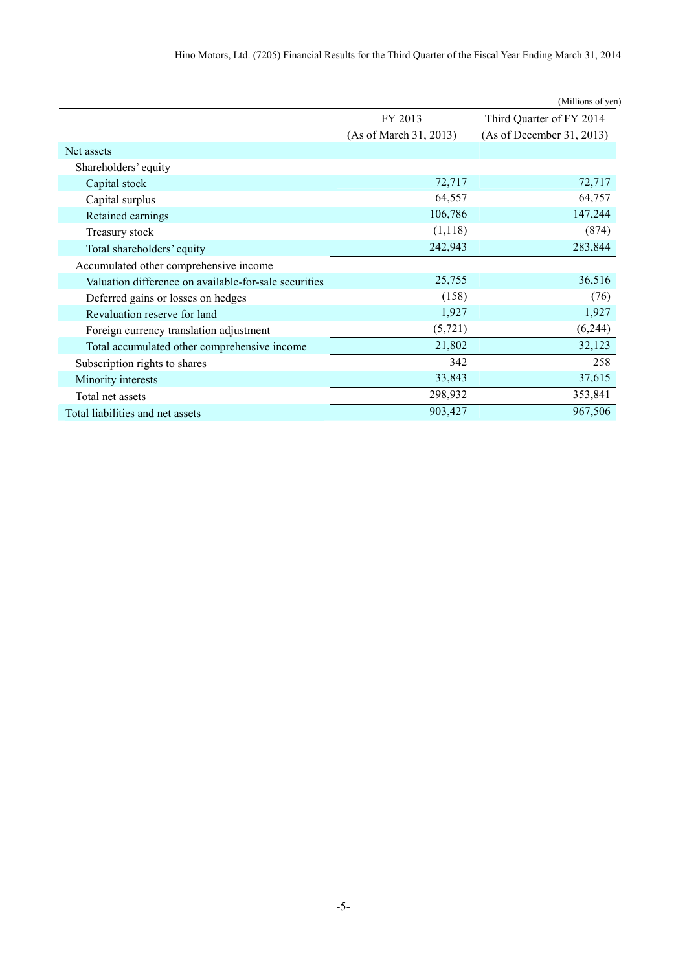|                                                       |                        | (Millions of yen)         |
|-------------------------------------------------------|------------------------|---------------------------|
|                                                       | FY 2013                | Third Quarter of FY 2014  |
|                                                       | (As of March 31, 2013) | (As of December 31, 2013) |
| Net assets                                            |                        |                           |
| Shareholders' equity                                  |                        |                           |
| Capital stock                                         | 72,717                 | 72,717                    |
| Capital surplus                                       | 64,557                 | 64,757                    |
| Retained earnings                                     | 106,786                | 147,244                   |
| Treasury stock                                        | (1,118)                | (874)                     |
| Total shareholders' equity                            | 242,943                | 283,844                   |
| Accumulated other comprehensive income                |                        |                           |
| Valuation difference on available-for-sale securities | 25,755                 | 36,516                    |
| Deferred gains or losses on hedges                    | (158)                  | (76)                      |
| Revaluation reserve for land                          | 1,927                  | 1,927                     |
| Foreign currency translation adjustment               | (5, 721)               | (6,244)                   |
| Total accumulated other comprehensive income          | 21,802                 | 32,123                    |
| Subscription rights to shares                         | 342                    | 258                       |
| Minority interests                                    | 33,843                 | 37,615                    |
| Total net assets                                      | 298,932                | 353,841                   |
| Total liabilities and net assets                      | 903,427                | 967,506                   |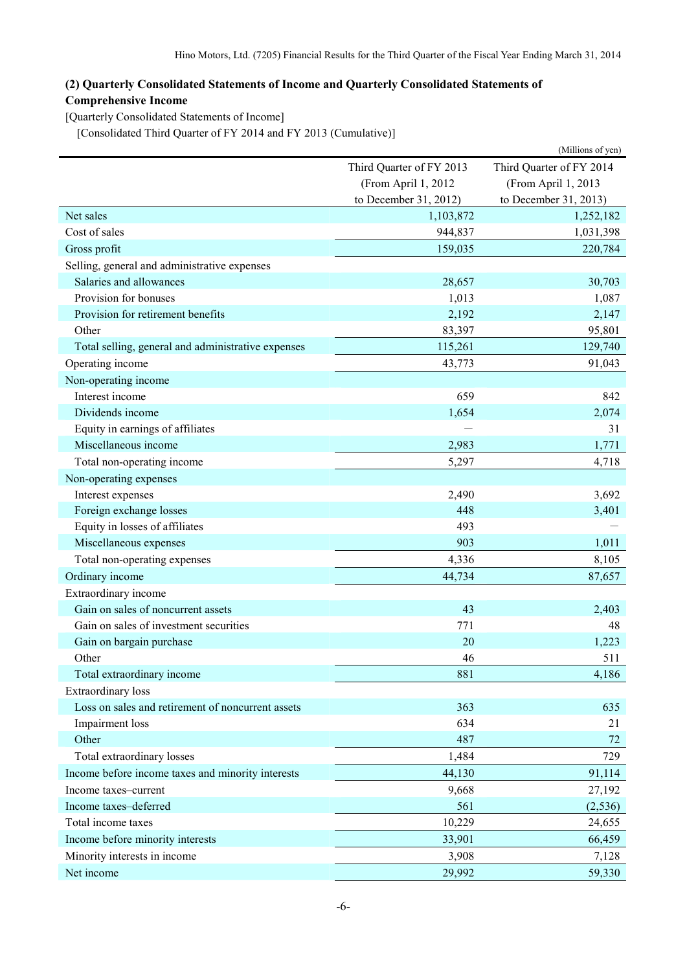### **(2) Quarterly Consolidated Statements of Income and Quarterly Consolidated Statements of Comprehensive Income**

[Quarterly Consolidated Statements of Income]

[Consolidated Third Quarter of FY 2014 and FY 2013 (Cumulative)]

|                                                    |                          | (Millions of yen)        |
|----------------------------------------------------|--------------------------|--------------------------|
|                                                    | Third Quarter of FY 2013 | Third Quarter of FY 2014 |
|                                                    | (From April 1, 2012      | (From April 1, 2013      |
|                                                    | to December 31, 2012)    | to December 31, 2013)    |
| Net sales                                          | 1,103,872                | 1,252,182                |
| Cost of sales                                      | 944,837                  | 1,031,398                |
| Gross profit                                       | 159,035                  | 220,784                  |
| Selling, general and administrative expenses       |                          |                          |
| Salaries and allowances                            | 28,657                   | 30,703                   |
| Provision for bonuses                              | 1,013                    | 1,087                    |
| Provision for retirement benefits                  | 2,192                    | 2,147                    |
| Other                                              | 83,397                   | 95,801                   |
| Total selling, general and administrative expenses | 115,261                  | 129,740                  |
| Operating income                                   | 43,773                   | 91,043                   |
| Non-operating income                               |                          |                          |
| Interest income                                    | 659                      | 842                      |
| Dividends income                                   | 1,654                    | 2,074                    |
| Equity in earnings of affiliates                   |                          | 31                       |
| Miscellaneous income                               | 2,983                    | 1,771                    |
| Total non-operating income                         | 5,297                    | 4,718                    |
| Non-operating expenses                             |                          |                          |
| Interest expenses                                  | 2,490                    | 3,692                    |
| Foreign exchange losses                            | 448                      | 3,401                    |
| Equity in losses of affiliates                     | 493                      |                          |
| Miscellaneous expenses                             | 903                      | 1,011                    |
| Total non-operating expenses                       | 4,336                    | 8,105                    |
| Ordinary income                                    | 44,734                   | 87,657                   |
| Extraordinary income                               |                          |                          |
| Gain on sales of noncurrent assets                 | 43                       | 2,403                    |
| Gain on sales of investment securities             | 771                      | 48                       |
| Gain on bargain purchase                           | 20                       | 1,223                    |
| Other                                              | 46                       | 511                      |
| Total extraordinary income                         | 881                      | 4,186                    |
| <b>Extraordinary</b> loss                          |                          |                          |
| Loss on sales and retirement of noncurrent assets  | 363                      | 635                      |
| Impairment loss                                    | 634                      | 21                       |
| Other                                              | 487                      | 72                       |
| Total extraordinary losses                         | 1,484                    | 729                      |
| Income before income taxes and minority interests  | 44,130                   | 91,114                   |
| Income taxes-current                               | 9,668                    | 27,192                   |
| Income taxes-deferred                              | 561                      | (2, 536)                 |
| Total income taxes                                 | 10,229                   | 24,655                   |
| Income before minority interests                   | 33,901                   | 66,459                   |
| Minority interests in income                       | 3,908                    | 7,128                    |
| Net income                                         | 29,992                   | 59,330                   |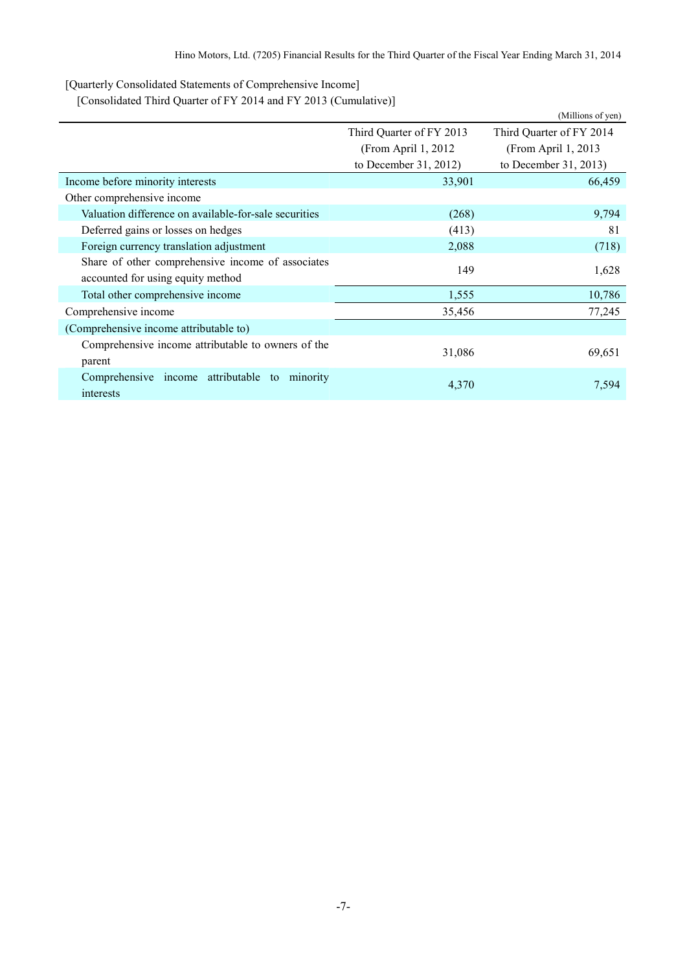[Quarterly Consolidated Statements of Comprehensive Income]

[Consolidated Third Quarter of FY 2014 and FY 2013 (Cumulative)]

|                                                               |                          | (Millions of yen)        |  |
|---------------------------------------------------------------|--------------------------|--------------------------|--|
|                                                               | Third Quarter of FY 2013 | Third Quarter of FY 2014 |  |
|                                                               | (From April 1, 2012)     | (From April 1, 2013      |  |
|                                                               | to December 31, 2012)    | to December 31, 2013)    |  |
| Income before minority interests                              | 33,901                   | 66,459                   |  |
| Other comprehensive income                                    |                          |                          |  |
| Valuation difference on available-for-sale securities         | (268)                    | 9,794                    |  |
| Deferred gains or losses on hedges                            | (413)                    | 81                       |  |
| Foreign currency translation adjustment                       | 2,088                    | (718)                    |  |
| Share of other comprehensive income of associates             | 149                      | 1,628                    |  |
| accounted for using equity method                             |                          |                          |  |
| Total other comprehensive income                              | 1,555                    | 10,786                   |  |
| Comprehensive income                                          | 35,456                   | 77,245                   |  |
| (Comprehensive income attributable to)                        |                          |                          |  |
| Comprehensive income attributable to owners of the<br>parent  | 31,086                   | 69,651                   |  |
| Comprehensive income attributable<br>to minority<br>interests | 4,370                    | 7,594                    |  |